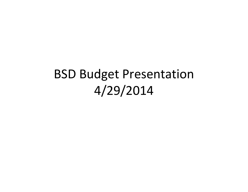## BSD Budget Presentation4/29/2014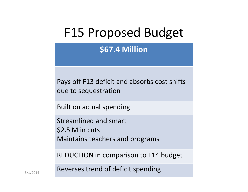## F15 Proposed Budget

**\$67.4 Million**

Pays off F13 deficit and absorbs cost shifts due to sequestration

Built on actual spending

Streamlined and smart\$2.5 M in cutsMaintains teachers and programs

REDUCTION in comparison to F14 budget

5/1/2014 **Reverses trend of deficit spending**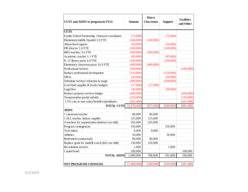| CUTS and ADDS to program in FY14                  | <b>Amount</b> | <b>Direct</b><br>Classroom | <b>Support</b> | <b>Facilities</b><br>and Other |
|---------------------------------------------------|---------------|----------------------------|----------------|--------------------------------|
| <b>CUTS</b>                                       |               |                            |                |                                |
| Family School Partnership, Outreach coordinator   | (75,000)      |                            | (75,000)       |                                |
| Elementary/middle Spanish 3.0 FTE                 | (240,000)     | (240,000)                  |                |                                |
| Afterschool support                               | (50,000)      |                            | (50,000)       |                                |
| HR director 1.0 FTE                               | (100,000)     |                            | (100,000)      |                                |
| BHS teachers 3.6 FTE                              | (300,000)     | (300,000)                  |                |                                |
| Academic coaches 1.1 FTE                          | (85,000)      |                            | (85,000)       |                                |
| K-12 library paras 4.0 FTE                        | (100,000)     |                            | (100,000)      |                                |
| Elementary classroom paras 16.0 FTE               | (400,000)     | (400,000)                  |                |                                |
| Professional services                             | (100,000)     |                            |                | (100,000)                      |
| Reduce professional development                   | (150,000)     |                            | (150,000)      |                                |
| <b>SROs</b>                                       | (50,000)      |                            | (50,000)       |                                |
| Substitute services reduction in usage            | (200,000)     |                            | (200,000)      |                                |
| Level fund supplies & books budgets               | (17,000)      | (17,000)                   |                |                                |
| Legal fees                                        | (30,000)      |                            | (30,000)       |                                |
| Reduce property services budget                   | (200,000)     |                            |                | (200,000)                      |
| Transportation partial subsidy                    | (120,000)     |                            |                | (120,000)                      |
| 1.5% cuts to non-salary/benefit expenditures      | (261, 400)    |                            |                | (261, 400)                     |
| <b>TOTAL CUTS</b>                                 | (2,478,400)   | (957,000)                  | (840,000)      | (681, 400)                     |
| <b>ADDS</b>                                       |               |                            |                |                                |
| 1 classroom teacher                               | 80,000        | 80,000                     |                |                                |
| 1 ELL teacher, liaison, supplies                  | 125,000       | 125,000                    |                |                                |
| 4 teachers for sequestration (federal cost shift) | 265,000       | 265,000                    |                |                                |
| Program contingencies                             | 150,000       |                            | 150,000        |                                |
| Tech tuition                                      | 8,000         | 8,000                      |                |                                |
| <b>Athletics</b>                                  | 50,000        |                            | 50,000         |                                |
| Retirement (contractual)                          | 80,000        | 80,000                     |                |                                |
| Replace grant for math/lit coach (fed cost shift) | 150,000       | 150,000                    |                |                                |
| Recruitment services                              | 1,000         |                            | 1,000          |                                |
| Capital bond                                      | 100,000       |                            |                | 100,000                        |
| <b>TOTAL ADDS</b>                                 | 1,009,000     | 708,000                    | 201,000        | 100,000                        |
|                                                   |               |                            |                |                                |
| <b>NET PROGRAM CHANGES</b>                        | (1,469,400)   | (249,000)                  | (639,000)      | (581, 400)                     |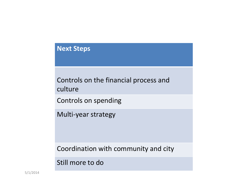## **Next Steps**

Controls on the financial process and culture

Controls on spending

Multi-year strategy

Coordination with community and city

Still more to do

5/1/2014